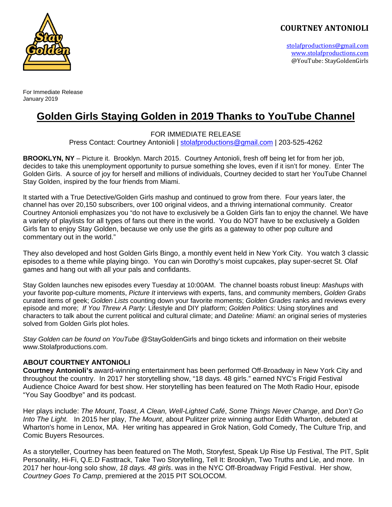stolafproductions@gmail.com www.stolafproductions.com @YouTube: StayGoldenGirls 



For Immediate Release January 2019

# **Golden Girls Staying Golden in 2019 Thanks to YouTube Channel**

FOR IMMEDIATE RELEASE

Press Contact: Courtney Antonioli | stolafproductions@gmail.com | 203-525-4262

**BROOKLYN, NY** – Picture it. Brooklyn. March 2015. Courtney Antonioli, fresh off being let for from her job, decides to take this unemployment opportunity to pursue something she loves, even if it isn't for money. Enter The Golden Girls. A source of joy for herself and millions of individuals, Courtney decided to start her YouTube Channel Stay Golden, inspired by the four friends from Miami.

It started with a True Detective/Golden Girls mashup and continued to grow from there. Four years later, the channel has over 20,150 subscribers, over 100 original videos, and a thriving international community. Creator Courtney Antonioli emphasizes you "do not have to exclusively be a Golden Girls fan to enjoy the channel. We have a variety of playlists for all types of fans out there in the world. You do NOT have to be exclusively a Golden Girls fan to enjoy Stay Golden, because we only use the girls as a gateway to other pop culture and commentary out in the world."

They also developed and host Golden Girls Bingo, a monthly event held in New York City. You watch 3 classic episodes to a theme while playing bingo. You can win Dorothy's moist cupcakes, play super-secret St. Olaf games and hang out with all your pals and confidants.

Stay Golden launches new episodes every Tuesday at 10:00AM. The channel boasts robust lineup: *Mashups* with your favorite pop-culture moments, *Picture It* interviews with experts, fans, and community members, *Golden Grabs* curated items of geek; *Golden Lists* counting down your favorite moments; *Golden Grades* ranks and reviews every episode and more; *If You Threw A Party*: Lifestyle and DIY platform; *Golden Politics*: Using storylines and characters to talk about the current political and cultural climate; and *Dateline: Miami*: an original series of mysteries solved from Golden Girls plot holes.

*Stay Golden can be found on YouTube* @StayGoldenGirls and bingo tickets and information on their website www.Stolafproductions.com.

#### **ABOUT COURTNEY ANTONIOLI**

**Courtney Antonioli's** award-winning entertainment has been performed Off-Broadway in New York City and throughout the country. In 2017 her storytelling show, "18 days. 48 girls." earned NYC's Frigid Festival Audience Choice Award for best show. Her storytelling has been featured on The Moth Radio Hour, episode "You Say Goodbye" and its podcast.

Her plays include: *The Mount*, *Toast*, *A Clean, Well-Lighted Café*, *Some Things Never Change*, and *Don't Go Into The Light.* In 2015 her play, *The Mount*, about Pulitzer prize winning author Edith Wharton, debuted at Wharton's home in Lenox, MA. Her writing has appeared in Grok Nation, Gold Comedy, The Culture Trip, and Comic Buyers Resources.

As a storyteller, Courtney has been featured on The Moth, Storyfest, Speak Up Rise Up Festival, The PIT, Split Personality, Hi-Fi, Q.E.D Fasttrack, Take Two Storytelling, Tell It: Brooklyn, Two Truths and Lie, and more. In 2017 her hour-long solo show, *18 days. 48 girls*. was in the NYC Off-Broadway Frigid Festival. Her show, *Courtney Goes To Camp*, premiered at the 2015 PIT SOLOCOM.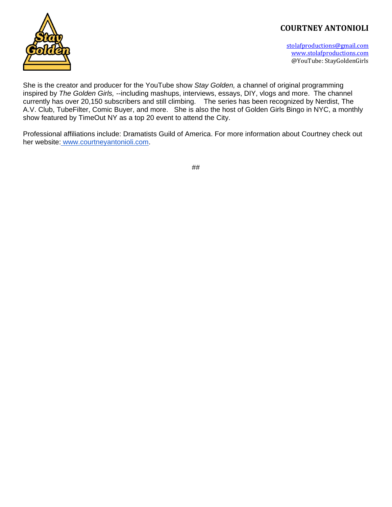

stolafproductions@gmail.com www.stolafproductions.com @YouTube: StayGoldenGirls 

She is the creator and producer for the YouTube show *Stay Golden,* a channel of original programming inspired by *The Golden Girls,* --including mashups, interviews, essays, DIY, vlogs and more. The channel currently has over 20,150 subscribers and still climbing. The series has been recognized by Nerdist, The A.V. Club, TubeFilter, Comic Buyer, and more. She is also the host of Golden Girls Bingo in NYC, a monthly show featured by TimeOut NY as a top 20 event to attend the City.

Professional affiliations include: Dramatists Guild of America. For more information about Courtney check out her website: www.courtneyantonioli.com.

##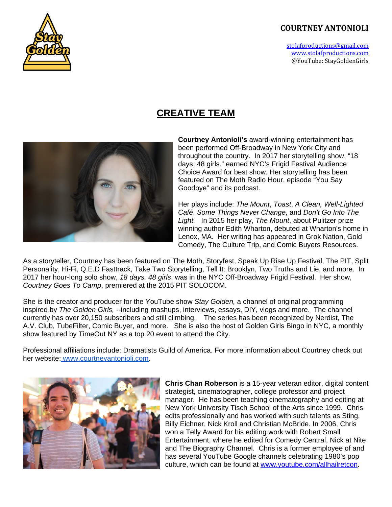stolafproductions@gmail.com www.stolafproductions.com @YouTube: StayGoldenGirls 



# **CREATIVE TEAM**



**Courtney Antonioli's** award-winning entertainment has been performed Off-Broadway in New York City and throughout the country. In 2017 her storytelling show, "18 days. 48 girls." earned NYC's Frigid Festival Audience Choice Award for best show. Her storytelling has been featured on The Moth Radio Hour, episode "You Say Goodbye" and its podcast.

Her plays include: *The Mount*, *Toast*, *A Clean, Well-Lighted Café*, *Some Things Never Change*, and *Don't Go Into The Light.* In 2015 her play, *The Mount*, about Pulitzer prize winning author Edith Wharton, debuted at Wharton's home in Lenox, MA. Her writing has appeared in Grok Nation, Gold Comedy, The Culture Trip, and Comic Buyers Resources.

As a storyteller, Courtney has been featured on The Moth, Storyfest, Speak Up Rise Up Festival, The PIT, Split Personality, Hi-Fi, Q.E.D Fasttrack, Take Two Storytelling, Tell It: Brooklyn, Two Truths and Lie, and more. In 2017 her hour-long solo show, *18 days. 48 girls*. was in the NYC Off-Broadway Frigid Festival. Her show, *Courtney Goes To Camp*, premiered at the 2015 PIT SOLOCOM.

She is the creator and producer for the YouTube show *Stay Golden,* a channel of original programming inspired by *The Golden Girls,* --including mashups, interviews, essays, DIY, vlogs and more. The channel currently has over 20,150 subscribers and still climbing. The series has been recognized by Nerdist, The A.V. Club, TubeFilter, Comic Buyer, and more. She is also the host of Golden Girls Bingo in NYC, a monthly show featured by TimeOut NY as a top 20 event to attend the City.

Professional affiliations include: Dramatists Guild of America. For more information about Courtney check out her website: www.courtneyantonioli.com.



**Chris Chan Roberson** is a 15-year veteran editor, digital content strategist, cinematographer, college professor and project manager. He has been teaching cinematography and editing at New York University Tisch School of the Arts since 1999. Chris edits professionally and has worked with such talents as Sting, Billy Eichner, Nick Kroll and Christian McBride. In 2006, Chris won a Telly Award for his editing work with Robert Small Entertainment, where he edited for Comedy Central, Nick at Nite and The Biography Channel. Chris is a former employee of and has several YouTube Google channels celebrating 1980's pop culture, which can be found at www.youtube.com/allhailretcon.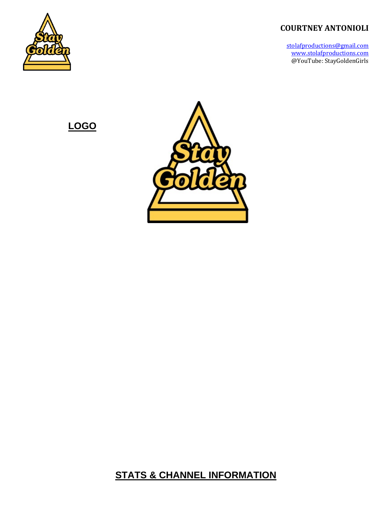stolafproductions@gmail.com www.stolafproductions.com @YouTube: StayGoldenGirls 



**LOGO** 



**STATS & CHANNEL INFORMATION**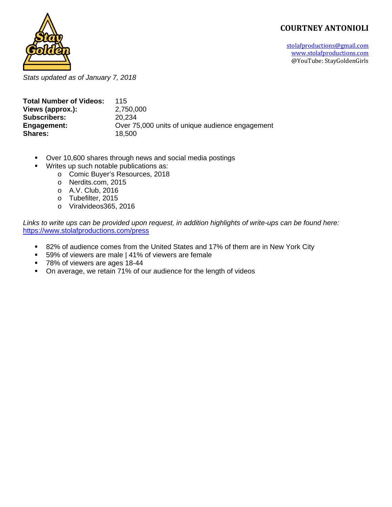stolafproductions@gmail.com www.stolafproductions.com @YouTube: StayGoldenGirls 



*Stats updated as of January 7, 2018* 

| <b>Total Number of Videos:</b> | 115                                             |
|--------------------------------|-------------------------------------------------|
| Views (approx.):               | 2,750,000                                       |
| <b>Subscribers:</b>            | 20.234                                          |
| Engagement:                    | Over 75,000 units of unique audience engagement |
| <b>Shares:</b>                 | 18.500                                          |

- Over 10,600 shares through news and social media postings
	- Writes up such notable publications as:
		- o Comic Buyer's Resources, 2018
		- o Nerdits.com, 2015
		- o A.V. Club, 2016
		- o Tubefilter, 2015
		- o Viralvideos365, 2016

*Links to write ups can be provided upon request, in addition highlights of write-ups can be found here:*  https://www.stolafproductions.com/press

- 82% of audience comes from the United States and 17% of them are in New York City
- 59% of viewers are male | 41% of viewers are female
- 78% of viewers are ages 18-44
- On average, we retain 71% of our audience for the length of videos